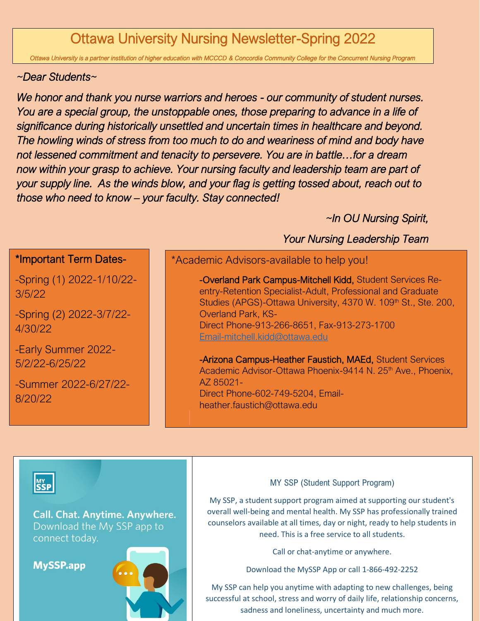# Ottawa University Nursing Newsletter-Spring 2022

*Ottawa University is a partner institution of higher education with MCCCD & Concordia Community College for the Concurrent Nursing Program* 

### *~Dear Students~*

*We honor and thank you nurse warriors and heroes - our community of student nurses. You are a special group, the unstoppable ones, those preparing to advance in a life of significance during historically unsettled and uncertain times in healthcare and beyond. The howling winds of stress from too much to do and weariness of mind and body have not lessened commitment and tenacity to persevere. You are in battle…for a dream now within your grasp to achieve. Your nursing faculty and leadership team are part of your supply line. As the winds blow, and your flag is getting tossed about, reach out to those who need to know – your faculty. Stay connected!*

*~In OU Nursing Spirit,* 

#### *Your Nursing Leadership Team*  -Spring (1) 2022-1/10/22-\*Important Term Dates- 3/5/22 -Spring (2) 2022-3/7/22- 4/30/22 -Early Summer 2022- 5/2/22-6/25/22 -Summer 2022-6/27/22- 8/20/22 \*Academic Advisors-available to help you! -Overland Park Campus-Mitchell Kidd, Student Services Reentry-Retention Specialist-Adult, Professional and Graduate Studies (APGS)-Ottawa University, 4370 W. 109<sup>th</sup> St., Ste. 200, Overland Park, KS-Direct Phone-913-266-8651, Fax-913-273-1700 [Email-mitchell.kidd@ottawa.edu](mailto:Email-mitchell.kidd@ottawa.edu) -Arizona Campus-Heather Faustich, MAEd, Student Services Academic Advisor-Ottawa Phoenix-9414 N. 25<sup>th</sup> Ave., Phoenix, AZ 85021- Direct Phone-602-749-5204, Emailheather.faustich@ottawa.edu

any way!



**Call. Chat. Anytime. Anywhere.** Download the My SSP app to connect today.

**MySSP.app** 



### MY SSP (Student Support Program)

My SSP, a student support program aimed at supporting our student's overall well-being and mental health. My SSP has professionally trained counselors available at all times, day or night, ready to help students in need. This is a free service to all students.

Call or chat-anytime or anywhere.

Download the MySSP App or call 1-866-492-2252

My SSP can help you anytime with adapting to new challenges, being successful at school, stress and worry of daily life, relationship concerns, sadness and loneliness, uncertainty and much more.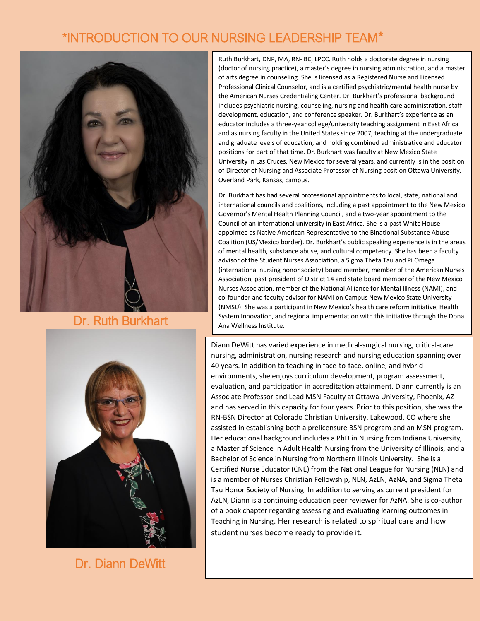## \*INTRODUCTION TO OUR NURSING LEADERSHIP TEAM\*



## Dr. Ruth Burkhart



Dr. Diann DeWitt

Ruth Burkhart, DNP, MA, RN- BC, LPCC. Ruth holds a doctorate degree in nursing (doctor of nursing practice), a master's degree in nursing administration, and a master of arts degree in counseling. She is licensed as a Registered Nurse and Licensed Professional Clinical Counselor, and is a certified psychiatric/mental health nurse by the American Nurses Credentialing Center. Dr. Burkhart's professional background includes psychiatric nursing, counseling, nursing and health care administration, staff development, education, and conference speaker. Dr. Burkhart's experience as an educator includes a three-year college/university teaching assignment in East Africa and as nursing faculty in the United States since 2007, teaching at the undergraduate and graduate levels of education, and holding combined administrative and educator positions for part of that time. Dr. Burkhart was faculty at New Mexico State University in Las Cruces, New Mexico for several years, and currently is in the position of Director of Nursing and Associate Professor of Nursing position Ottawa University, Overland Park, Kansas, campus.

Dr. Burkhart has had several professional appointments to local, state, national and international councils and coalitions, including a past appointment to the New Mexico Governor's Mental Health Planning Council, and a two-year appointment to the Council of an international university in East Africa. She is a past White House appointee as Native American Representative to the Binational Substance Abuse Coalition (US/Mexico border). Dr. Burkhart's public speaking experience is in the areas of mental health, substance abuse, and cultural competency. She has been a faculty advisor of the Student Nurses Association, a Sigma Theta Tau and Pi Omega (international nursing honor society) board member, member of the American Nurses Association, past president of District 14 and state board member of the New Mexico Nurses Association, member of the National Alliance for Mental Illness (NAMI), and co-founder and faculty advisor for NAMI on Campus New Mexico State University (NMSU). She was a participant in New Mexico's health care reform initiative, Health System Innovation, and regional implementation with this initiative through the Dona Ana Wellness Institute.

Diann DeWitt has varied experience in medical-surgical nursing, critical-care nursing, administration, nursing research and nursing education spanning over 40 years. In addition to teaching in face-to-face, online, and hybrid environments, she enjoys curriculum development, program assessment, evaluation, and participation in accreditation attainment. Diann currently is an Associate Professor and Lead MSN Faculty at Ottawa University, Phoenix, AZ and has served in this capacity for four years. Prior to this position, she was the RN-BSN Director at Colorado Christian University, Lakewood, CO where she assisted in establishing both a prelicensure BSN program and an MSN program. Her educational background includes a PhD in Nursing from Indiana University, a Master of Science in Adult Health Nursing from the University of Illinois, and a Bachelor of Science in Nursing from Northern Illinois University. She is a Certified Nurse Educator (CNE) from the National League for Nursing (NLN) and is a member of Nurses Christian Fellowship, NLN, AzLN, AzNA, and Sigma Theta Tau Honor Society of Nursing. In addition to serving as current president for AzLN, Diann is a continuing education peer reviewer for AzNA. She is co-author of a book chapter regarding assessing and evaluating learning outcomes in Teaching in Nursing. Her research is related to spiritual care and how student nurses become ready to provide it.